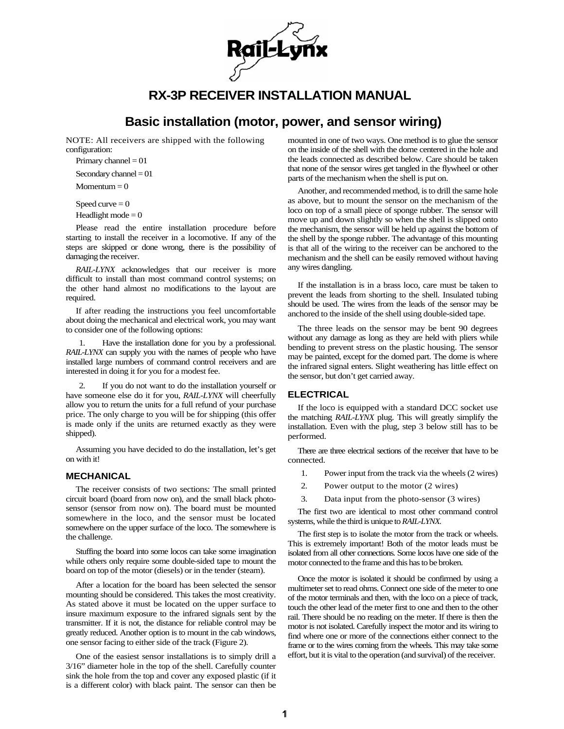

# **RX-3P RECEIVER INSTALLATION MANUAL**

## **Basic installation (motor, power, and sensor wiring)**

NOTE: All receivers are shipped with the following configuration:

Primary channel  $= 01$ 

Secondary channel  $= 01$ 

 $Momentum = 0$ 

Speed curve  $= 0$ 

Headlight mode  $= 0$ 

Please read the entire installation procedure before starting to install the receiver in a locomotive. If any of the steps are skipped or done wrong, there is the possibility of damaging the receiver.

*RAIL-LYNX* acknowledges that our receiver is more difficult to install than most command control systems; on the other hand almost no modifications to the layout are required.

If after reading the instructions you feel uncomfortable about doing the mechanical and electrical work, you may want to consider one of the following options:

Have the installation done for you by a professional. *RAIL-LYNX* can supply you with the names of people who have installed large numbers of command control receivers and are interested in doing it for you for a modest fee.

2. If you do not want to do the installation yourself or have someone else do it for you, *RAIL-LYNX* will cheerfully allow you to return the units for a full refund of your purchase price. The only charge to you will be for shipping (this offer is made only if the units are returned exactly as they were shipped).

Assuming you have decided to do the installation, let's get on with it!

## **MECHANICAL**

The receiver consists of two sections: The small printed circuit board (board from now on), and the small black photosensor (sensor from now on). The board must be mounted somewhere in the loco, and the sensor must be located somewhere on the upper surface of the loco. The somewhere is the challenge.

Stuffing the board into some locos can take some imagination while others only require some double-sided tape to mount the board on top of the motor (diesels) or in the tender (steam).

After a location for the board has been selected the sensor mounting should be considered. This takes the most creativity. As stated above it must be located on the upper surface to insure maximum exposure to the infrared signals sent by the transmitter. If it is not, the distance for reliable control may be greatly reduced. Another option is to mount in the cab windows, one sensor facing to either side of the track (Figure 2).

One of the easiest sensor installations is to simply drill a 3/16" diameter hole in the top of the shell. Carefully counter sink the hole from the top and cover any exposed plastic (if it is a different color) with black paint. The sensor can then be mounted in one of two ways. One method is to glue the sensor on the inside of the shell with the dome centered in the hole and the leads connected as described below. Care should be taken that none of the sensor wires get tangled in the flywheel or other parts of the mechanism when the shell is put on.

Another, and recommended method, is to drill the same hole as above, but to mount the sensor on the mechanism of the loco on top of a small piece of sponge rubber. The sensor will move up and down slightly so when the shell is slipped onto the mechanism, the sensor will be held up against the bottom of the shell by the sponge rubber. The advantage of this mounting is that all of the wiring to the receiver can be anchored to the mechanism and the shell can be easily removed without having any wires dangling.

If the installation is in a brass loco, care must be taken to prevent the leads from shorting to the shell. Insulated tubing should be used. The wires from the leads of the sensor may be anchored to the inside of the shell using double-sided tape.

The three leads on the sensor may be bent 90 degrees without any damage as long as they are held with pliers while bending to prevent stress on the plastic housing. The sensor may be painted, except for the domed part. The dome is where the infrared signal enters. Slight weathering has little effect on the sensor, but don't get carried away.

## **ELECTRICAL**

If the loco is equipped with a standard DCC socket use the matching *RAIL-LYNX* plug. This will greatly simplify the installation. Even with the plug, step 3 below still has to be performed.

There are three electrical sections of the receiver that have to be connected.

- 1. Power input from the track via the wheels (2 wires)
- 2. Power output to the motor (2 wires)
- 3. Data input from the photo-sensor (3 wires)

The first two are identical to most other command control systems, while the third is unique to *RAIL-LYNX.* 

The first step is to isolate the motor from the track or wheels. This is extremely important! Both of the motor leads must be isolated from all other connections. Some locos have one side of the motor connected to the frame and this has to be broken.

Once the motor is isolated it should be confirmed by using a multimeter set to read ohms. Connect one side of the meter to one of the motor terminals and then, with the loco on a piece of track, touch the other lead of the meter first to one and then to the other rail. There should be no reading on the meter. If there is then the motor is not isolated. Carefully inspect the motor and its wiring to find where one or more of the connections either connect to the frame or to the wires coming from the wheels. This may take some effort, but it is vital to the operation (and survival) of the receiver.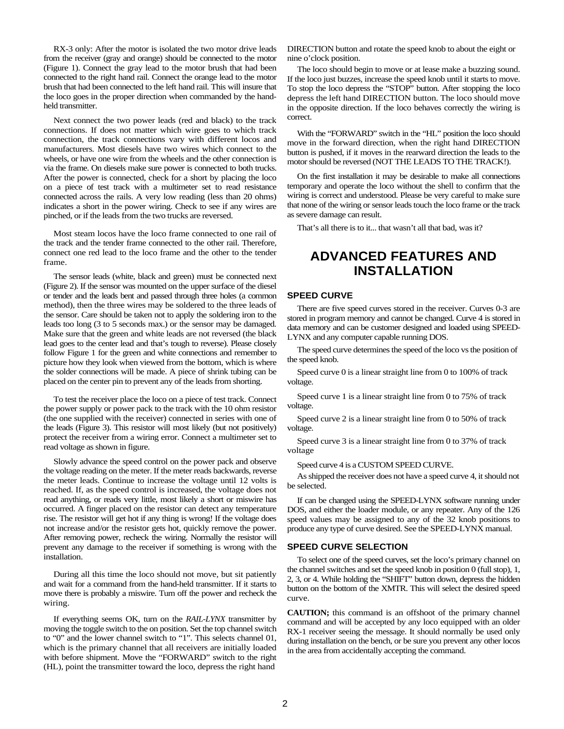RX-3 only: After the motor is isolated the two motor drive leads from the receiver (gray and orange) should be connected to the motor (Figure 1). Connect the gray lead to the motor brush that had been connected to the right hand rail. Connect the orange lead to the motor brush that had been connected to the left hand rail. This will insure that the loco goes in the proper direction when commanded by the handheld transmitter.

Next connect the two power leads (red and black) to the track connections. If does not matter which wire goes to which track connection, the track connections vary with different locos and manufacturers. Most diesels have two wires which connect to the wheels, or have one wire from the wheels and the other connection is via the frame. On diesels make sure power is connected to both trucks. After the power is connected, check for a short by placing the loco on a piece of test track with a multimeter set to read resistance connected across the rails. A very low reading (less than 20 ohms) indicates a short in the power wiring. Check to see if any wires are pinched, or if the leads from the two trucks are reversed.

Most steam locos have the loco frame connected to one rail of the track and the tender frame connected to the other rail. Therefore, connect one red lead to the loco frame and the other to the tender frame.

The sensor leads (white, black and green) must be connected next (Figure 2). If the sensor was mounted on the upper surface of the diesel or tender and the leads bent and passed through three holes (a common method), then the three wires may be soldered to the three leads of the sensor. Care should be taken not to apply the soldering iron to the leads too long (3 to 5 seconds max.) or the sensor may be damaged. Make sure that the green and white leads are not reversed (the black lead goes to the center lead and that's tough to reverse). Please closely follow Figure 1 for the green and white connections and remember to picture how they look when viewed from the bottom, which is where the solder connections will be made. A piece of shrink tubing can be placed on the center pin to prevent any of the leads from shorting.

To test the receiver place the loco on a piece of test track. Connect the power supply or power pack to the track with the 10 ohm resistor (the one supplied with the receiver) connected in series with one of the leads (Figure 3). This resistor will most likely (but not positively) protect the receiver from a wiring error. Connect a multimeter set to read voltage as shown in figure.

Slowly advance the speed control on the power pack and observe the voltage reading on the meter. If the meter reads backwards, reverse the meter leads. Continue to increase the voltage until 12 volts is reached. If, as the speed control is increased, the voltage does not read anything, or reads very little, most likely a short or miswire has occurred. A finger placed on the resistor can detect any temperature rise. The resistor will get hot if any thing is wrong! If the voltage does not increase and/or the resistor gets hot, quickly remove the power. After removing power, recheck the wiring. Normally the resistor will prevent any damage to the receiver if something is wrong with the installation.

During all this time the loco should not move, but sit patiently and wait for a command from the hand-held transmitter. If it starts to move there is probably a miswire. Turn off the power and recheck the wiring.

If everything seems OK, turn on the *RAIL-LYNX* transmitter by moving the toggle switch to the on position. Set the top channel switch to "0" and the lower channel switch to "1". This selects channel 01, which is the primary channel that all receivers are initially loaded with before shipment. Move the "FORWARD" switch to the right (HL), point the transmitter toward the loco, depress the right hand

DIRECTION button and rotate the speed knob to about the eight or nine o'clock position.

The loco should begin to move or at lease make a buzzing sound. If the loco just buzzes, increase the speed knob until it starts to move. To stop the loco depress the "STOP" button. After stopping the loco depress the left hand DIRECTION button. The loco should move in the opposite direction. If the loco behaves correctly the wiring is correct.

With the "FORWARD" switch in the "HL" position the loco should move in the forward direction, when the right hand DIRECTION button is pushed, if it moves in the rearward direction the leads to the motor should be reversed (NOT THE LEADS TO THE TRACK!).

On the first installation it may be desirable to make all connections temporary and operate the loco without the shell to confirm that the wiring is correct and understood. Please be very careful to make sure that none of the wiring or sensor leads touch the loco frame or the track as severe damage can result.

That's all there is to it... that wasn't all that bad, was it?

## **ADVANCED FEATURES AND INSTALLATION**

#### **SPEED CURVE**

There are five speed curves stored in the receiver. Curves 0-3 are stored in program memory and cannot be changed. Curve 4 is stored in data memory and can be customer designed and loaded using SPEED-LYNX and any computer capable running DOS.

The speed curve determines the speed of the loco vs the position of the speed knob.

Speed curve 0 is a linear straight line from 0 to 100% of track voltage.

Speed curve 1 is a linear straight line from 0 to 75% of track voltage.

Speed curve 2 is a linear straight line from 0 to 50% of track voltage.

Speed curve 3 is a linear straight line from 0 to 37% of track voltage

Speed curve 4 is a CUSTOM SPEED CURVE.

As shipped the receiver does not have a speed curve 4, it should not be selected.

If can be changed using the SPEED-LYNX software running under DOS, and either the loader module, or any repeater. Any of the 126 speed values may be assigned to any of the 32 knob positions to produce any type of curve desired. See the SPEED-LYNX manual.

#### **SPEED CURVE SELECTION**

To select one of the speed curves, set the loco's primary channel on the channel switches and set the speed knob in position 0 (full stop), 1, 2, 3, or 4. While holding the "SHIFT" button down, depress the hidden button on the bottom of the XMTR. This will select the desired speed curve.

**CAUTION;** this command is an offshoot of the primary channel command and will be accepted by any loco equipped with an older RX-1 receiver seeing the message. It should normally be used only during installation on the bench, or be sure you prevent any other locos in the area from accidentally accepting the command.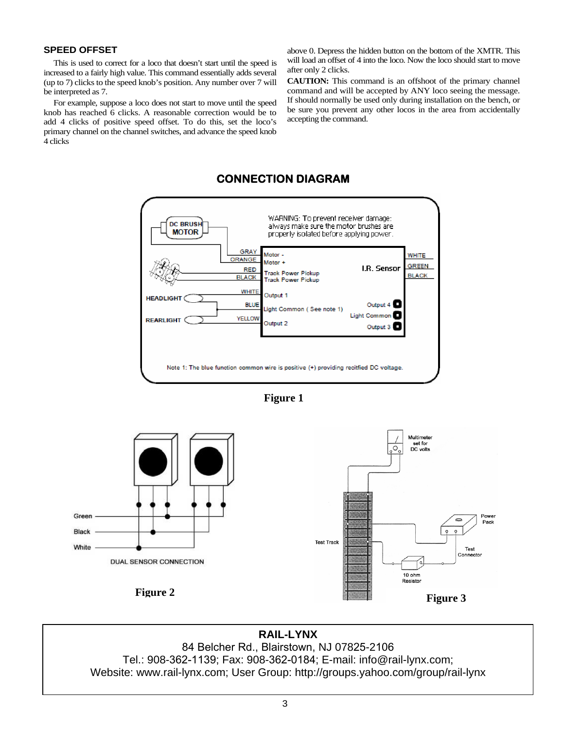## **SPEED OFFSET**

This is used to correct for a loco that doesn't start until the speed is increased to a fairly high value. This command essentially adds several (up to 7) clicks to the speed knob's position. Any number over 7 will be interpreted as 7.

For example, suppose a loco does not start to move until the speed knob has reached 6 clicks. A reasonable correction would be to add 4 clicks of positive speed offset. To do this, set the loco's primary channel on the channel switches, and advance the speed knob 4 clicks

above 0. Depress the hidden button on the bottom of the XMTR. This will load an offset of 4 into the loco. Now the loco should start to move after only 2 clicks.

**CAUTION:** This command is an offshoot of the primary channel command and will be accepted by ANY loco seeing the message. If should normally be used only during installation on the bench, or be sure you prevent any other locos in the area from accidentally accepting the command.



## **CONNECTION DIAGRAM**





**RAIL-LYNX**  84 Belcher Rd., Blairstown, NJ 07825-2106 Tel.: 908-362-1139; Fax: 908-362-0184; E-mail: info@rail-lynx.com; Website: www.rail-lynx.com; User Group: http://groups.yahoo.com/group/rail-lynx